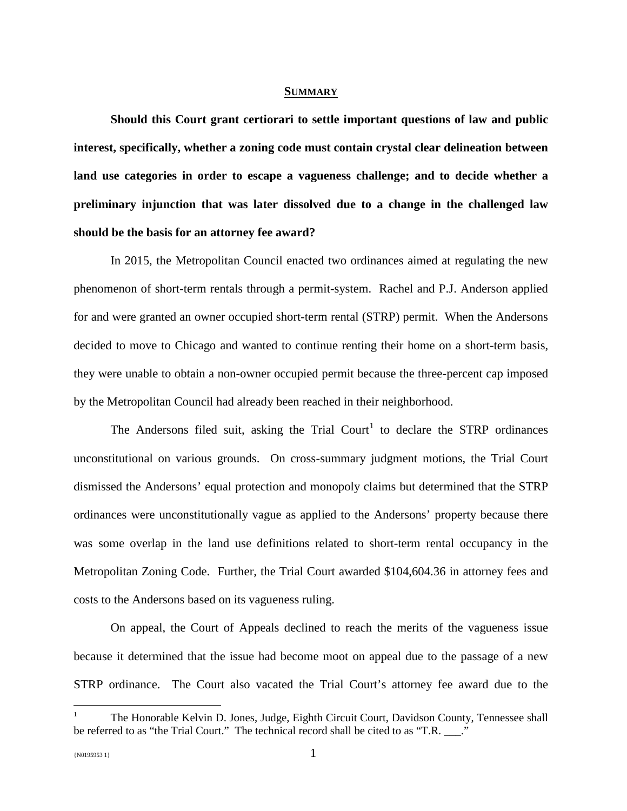#### **SUMMARY**

**Should this Court grant certiorari to settle important questions of law and public interest, specifically, whether a zoning code must contain crystal clear delineation between land use categories in order to escape a vagueness challenge; and to decide whether a preliminary injunction that was later dissolved due to a change in the challenged law should be the basis for an attorney fee award?** 

In 2015, the Metropolitan Council enacted two ordinances aimed at regulating the new phenomenon of short-term rentals through a permit-system. Rachel and P.J. Anderson applied for and were granted an owner occupied short-term rental (STRP) permit. When the Andersons decided to move to Chicago and wanted to continue renting their home on a short-term basis, they were unable to obtain a non-owner occupied permit because the three-percent cap imposed by the Metropolitan Council had already been reached in their neighborhood.

The Andersons filed suit, asking the Trial Court<sup>1</sup> to declare the STRP ordinances unconstitutional on various grounds. On cross-summary judgment motions, the Trial Court dismissed the Andersons' equal protection and monopoly claims but determined that the STRP ordinances were unconstitutionally vague as applied to the Andersons' property because there was some overlap in the land use definitions related to short-term rental occupancy in the Metropolitan Zoning Code. Further, the Trial Court awarded \$104,604.36 in attorney fees and costs to the Andersons based on its vagueness ruling.

On appeal, the Court of Appeals declined to reach the merits of the vagueness issue because it determined that the issue had become moot on appeal due to the passage of a new STRP ordinance. The Court also vacated the Trial Court's attorney fee award due to the

 $\overline{a}$ 

<sup>1</sup> The Honorable Kelvin D. Jones, Judge, Eighth Circuit Court, Davidson County, Tennessee shall be referred to as "the Trial Court." The technical record shall be cited to as "T.R. \_\_\_."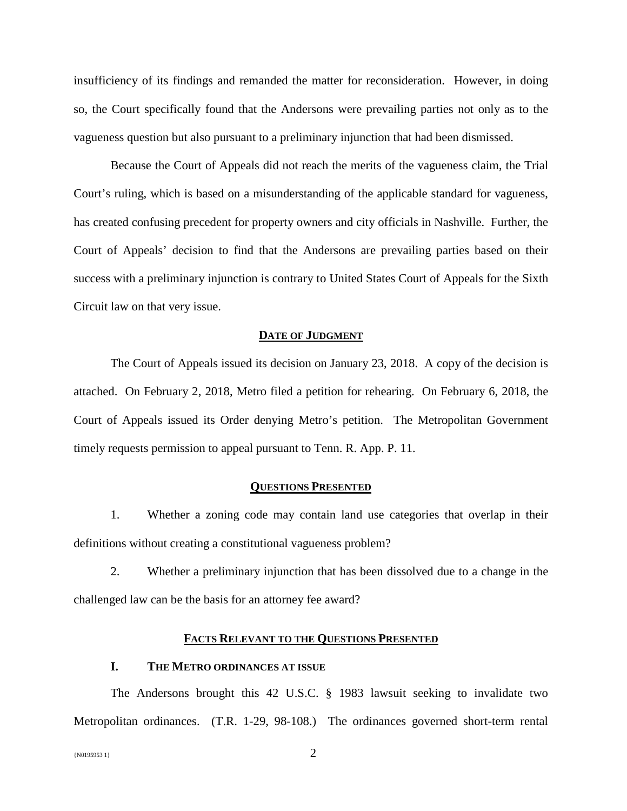insufficiency of its findings and remanded the matter for reconsideration. However, in doing so, the Court specifically found that the Andersons were prevailing parties not only as to the vagueness question but also pursuant to a preliminary injunction that had been dismissed.

Because the Court of Appeals did not reach the merits of the vagueness claim, the Trial Court's ruling, which is based on a misunderstanding of the applicable standard for vagueness, has created confusing precedent for property owners and city officials in Nashville. Further, the Court of Appeals' decision to find that the Andersons are prevailing parties based on their success with a preliminary injunction is contrary to United States Court of Appeals for the Sixth Circuit law on that very issue.

#### **DATE OF JUDGMENT**

The Court of Appeals issued its decision on January 23, 2018. A copy of the decision is attached. On February 2, 2018, Metro filed a petition for rehearing. On February 6, 2018, the Court of Appeals issued its Order denying Metro's petition. The Metropolitan Government timely requests permission to appeal pursuant to Tenn. R. App. P. 11.

#### **QUESTIONS PRESENTED**

1. Whether a zoning code may contain land use categories that overlap in their definitions without creating a constitutional vagueness problem?

2. Whether a preliminary injunction that has been dissolved due to a change in the challenged law can be the basis for an attorney fee award?

### **FACTS RELEVANT TO THE QUESTIONS PRESENTED**

### **I. THE METRO ORDINANCES AT ISSUE**

The Andersons brought this 42 U.S.C. § 1983 lawsuit seeking to invalidate two Metropolitan ordinances. (T.R. 1-29, 98-108.) The ordinances governed short-term rental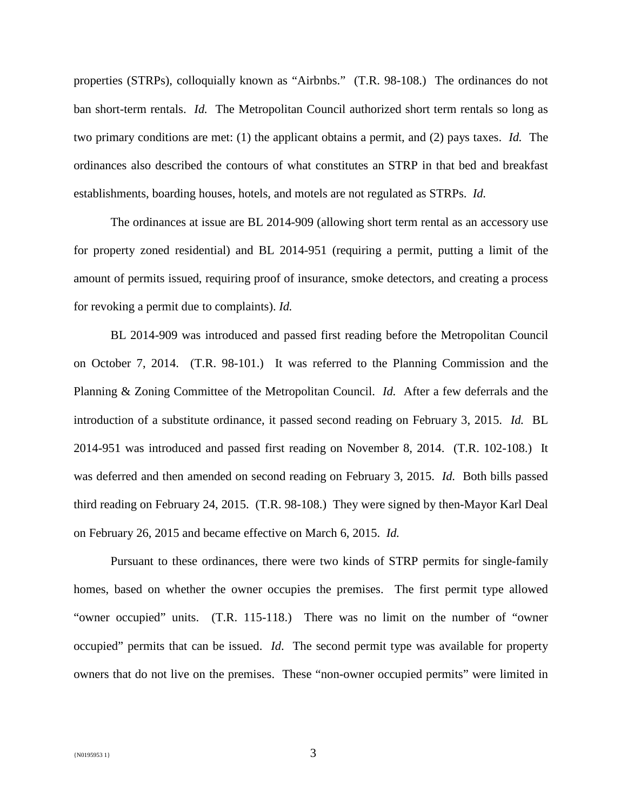properties (STRPs), colloquially known as "Airbnbs." (T.R. 98-108.) The ordinances do not ban short-term rentals. *Id.* The Metropolitan Council authorized short term rentals so long as two primary conditions are met: (1) the applicant obtains a permit, and (2) pays taxes. *Id.* The ordinances also described the contours of what constitutes an STRP in that bed and breakfast establishments, boarding houses, hotels, and motels are not regulated as STRPs. *Id.*

The ordinances at issue are BL 2014-909 (allowing short term rental as an accessory use for property zoned residential) and BL 2014-951 (requiring a permit, putting a limit of the amount of permits issued, requiring proof of insurance, smoke detectors, and creating a process for revoking a permit due to complaints). *Id.*

BL 2014-909 was introduced and passed first reading before the Metropolitan Council on October 7, 2014. (T.R. 98-101.) It was referred to the Planning Commission and the Planning & Zoning Committee of the Metropolitan Council. *Id.* After a few deferrals and the introduction of a substitute ordinance, it passed second reading on February 3, 2015. *Id.* BL 2014-951 was introduced and passed first reading on November 8, 2014. (T.R. 102-108.) It was deferred and then amended on second reading on February 3, 2015. *Id.* Both bills passed third reading on February 24, 2015. (T.R. 98-108.)They were signed by then-Mayor Karl Deal on February 26, 2015 and became effective on March 6, 2015. *Id.*

Pursuant to these ordinances, there were two kinds of STRP permits for single-family homes, based on whether the owner occupies the premises. The first permit type allowed "owner occupied" units. (T.R. 115-118.) There was no limit on the number of "owner occupied" permits that can be issued. *Id*. The second permit type was available for property owners that do not live on the premises. These "non-owner occupied permits" were limited in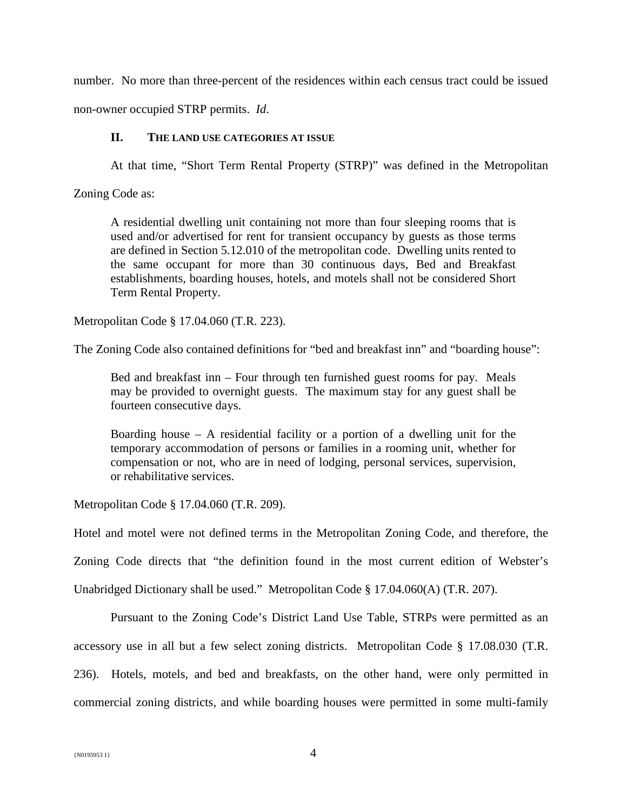number. No more than three-percent of the residences within each census tract could be issued

non-owner occupied STRP permits. *Id*.

## **II. THE LAND USE CATEGORIES AT ISSUE**

At that time, "Short Term Rental Property (STRP)" was defined in the Metropolitan

Zoning Code as:

A residential dwelling unit containing not more than four sleeping rooms that is used and/or advertised for rent for transient occupancy by guests as those terms are defined in Section 5.12.010 of the metropolitan code. Dwelling units rented to the same occupant for more than 30 continuous days, Bed and Breakfast establishments, boarding houses, hotels, and motels shall not be considered Short Term Rental Property.

Metropolitan Code § 17.04.060 (T.R. 223).

The Zoning Code also contained definitions for "bed and breakfast inn" and "boarding house":

Bed and breakfast inn – Four through ten furnished guest rooms for pay. Meals may be provided to overnight guests. The maximum stay for any guest shall be fourteen consecutive days.

Boarding house  $-$  A residential facility or a portion of a dwelling unit for the temporary accommodation of persons or families in a rooming unit, whether for compensation or not, who are in need of lodging, personal services, supervision, or rehabilitative services.

Metropolitan Code § 17.04.060 (T.R. 209).

Hotel and motel were not defined terms in the Metropolitan Zoning Code, and therefore, the

Zoning Code directs that "the definition found in the most current edition of Webster's

Unabridged Dictionary shall be used." Metropolitan Code § 17.04.060(A) (T.R. 207).

Pursuant to the Zoning Code's District Land Use Table, STRPs were permitted as an accessory use in all but a few select zoning districts. Metropolitan Code § 17.08.030 (T.R. 236). Hotels, motels, and bed and breakfasts, on the other hand, were only permitted in commercial zoning districts, and while boarding houses were permitted in some multi-family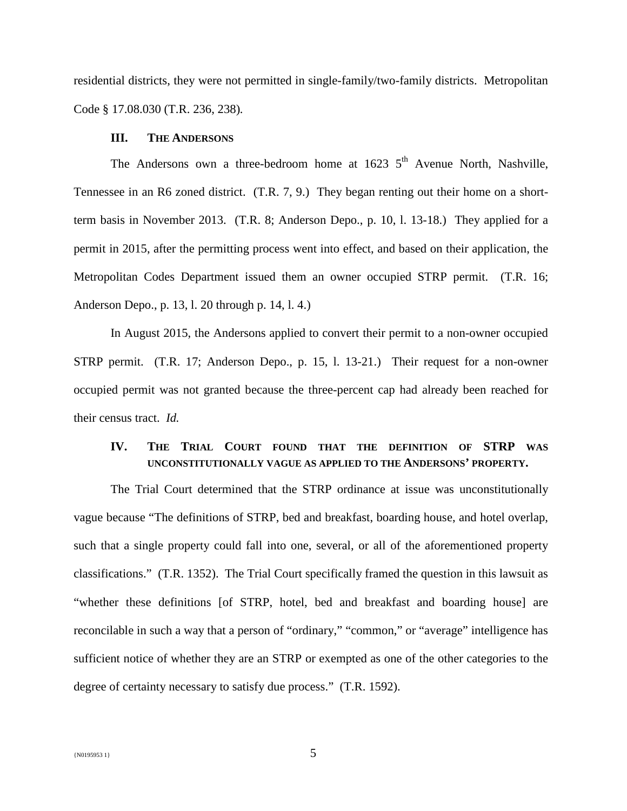residential districts, they were not permitted in single-family/two-family districts. Metropolitan Code § 17.08.030 (T.R. 236, 238)*.* 

### **III. THE ANDERSONS**

The Andersons own a three-bedroom home at  $1623\,5^{th}$  Avenue North, Nashville, Tennessee in an R6 zoned district. (T.R. 7, 9.) They began renting out their home on a shortterm basis in November 2013. (T.R. 8; Anderson Depo., p. 10, l. 13-18.) They applied for a permit in 2015, after the permitting process went into effect, and based on their application, the Metropolitan Codes Department issued them an owner occupied STRP permit. (T.R. 16; Anderson Depo., p. 13, l. 20 through p. 14, l. 4.)

In August 2015, the Andersons applied to convert their permit to a non-owner occupied STRP permit. (T.R. 17; Anderson Depo., p. 15, l. 13-21.) Their request for a non-owner occupied permit was not granted because the three-percent cap had already been reached for their census tract. *Id.* 

## **IV. THE TRIAL COURT FOUND THAT THE DEFINITION OF STRP WAS UNCONSTITUTIONALLY VAGUE AS APPLIED TO THE ANDERSONS' PROPERTY.**

The Trial Court determined that the STRP ordinance at issue was unconstitutionally vague because "The definitions of STRP, bed and breakfast, boarding house, and hotel overlap, such that a single property could fall into one, several, or all of the aforementioned property classifications." (T.R. 1352). The Trial Court specifically framed the question in this lawsuit as "whether these definitions [of STRP, hotel, bed and breakfast and boarding house] are reconcilable in such a way that a person of "ordinary," "common," or "average" intelligence has sufficient notice of whether they are an STRP or exempted as one of the other categories to the degree of certainty necessary to satisfy due process." (T.R. 1592).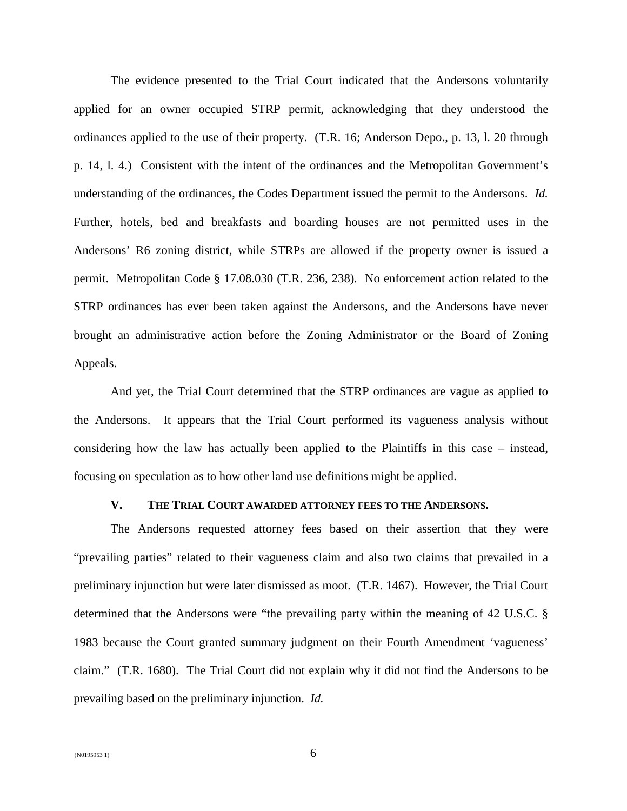The evidence presented to the Trial Court indicated that the Andersons voluntarily applied for an owner occupied STRP permit, acknowledging that they understood the ordinances applied to the use of their property. (T.R. 16; Anderson Depo., p. 13, l. 20 through p. 14, l. 4.) Consistent with the intent of the ordinances and the Metropolitan Government's understanding of the ordinances, the Codes Department issued the permit to the Andersons. *Id.* Further, hotels, bed and breakfasts and boarding houses are not permitted uses in the Andersons' R6 zoning district, while STRPs are allowed if the property owner is issued a permit. Metropolitan Code § 17.08.030 (T.R. 236, 238)*.* No enforcement action related to the STRP ordinances has ever been taken against the Andersons, and the Andersons have never brought an administrative action before the Zoning Administrator or the Board of Zoning Appeals.

And yet, the Trial Court determined that the STRP ordinances are vague as applied to the Andersons. It appears that the Trial Court performed its vagueness analysis without considering how the law has actually been applied to the Plaintiffs in this case – instead, focusing on speculation as to how other land use definitions might be applied.

## **V. THE TRIAL COURT AWARDED ATTORNEY FEES TO THE ANDERSONS.**

The Andersons requested attorney fees based on their assertion that they were "prevailing parties" related to their vagueness claim and also two claims that prevailed in a preliminary injunction but were later dismissed as moot. (T.R. 1467). However, the Trial Court determined that the Andersons were "the prevailing party within the meaning of 42 U.S.C. § 1983 because the Court granted summary judgment on their Fourth Amendment 'vagueness' claim." (T.R. 1680). The Trial Court did not explain why it did not find the Andersons to be prevailing based on the preliminary injunction. *Id.*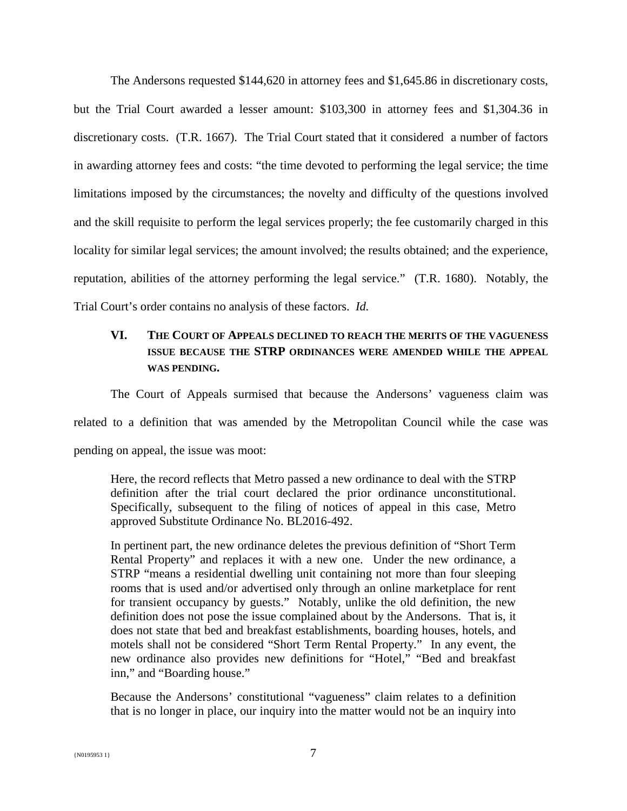The Andersons requested \$144,620 in attorney fees and \$1,645.86 in discretionary costs, but the Trial Court awarded a lesser amount: \$103,300 in attorney fees and \$1,304.36 in discretionary costs. (T.R. 1667). The Trial Court stated that it considered a number of factors in awarding attorney fees and costs: "the time devoted to performing the legal service; the time limitations imposed by the circumstances; the novelty and difficulty of the questions involved and the skill requisite to perform the legal services properly; the fee customarily charged in this locality for similar legal services; the amount involved; the results obtained; and the experience, reputation, abilities of the attorney performing the legal service." (T.R. 1680). Notably, the Trial Court's order contains no analysis of these factors. *Id.*

# **VI. THE COURT OF APPEALS DECLINED TO REACH THE MERITS OF THE VAGUENESS ISSUE BECAUSE THE STRP ORDINANCES WERE AMENDED WHILE THE APPEAL WAS PENDING.**

The Court of Appeals surmised that because the Andersons' vagueness claim was

related to a definition that was amended by the Metropolitan Council while the case was

pending on appeal, the issue was moot:

Here, the record reflects that Metro passed a new ordinance to deal with the STRP definition after the trial court declared the prior ordinance unconstitutional. Specifically, subsequent to the filing of notices of appeal in this case, Metro approved Substitute Ordinance No. BL2016-492.

In pertinent part, the new ordinance deletes the previous definition of "Short Term Rental Property" and replaces it with a new one. Under the new ordinance, a STRP "means a residential dwelling unit containing not more than four sleeping rooms that is used and/or advertised only through an online marketplace for rent for transient occupancy by guests." Notably, unlike the old definition, the new definition does not pose the issue complained about by the Andersons. That is, it does not state that bed and breakfast establishments, boarding houses, hotels, and motels shall not be considered "Short Term Rental Property." In any event, the new ordinance also provides new definitions for "Hotel," "Bed and breakfast inn," and "Boarding house."

Because the Andersons' constitutional "vagueness" claim relates to a definition that is no longer in place, our inquiry into the matter would not be an inquiry into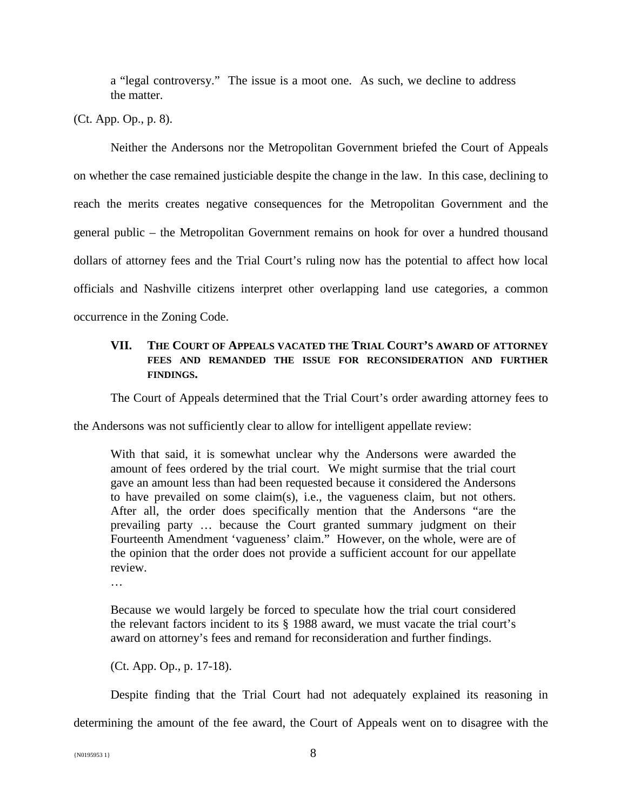a "legal controversy." The issue is a moot one. As such, we decline to address the matter.

(Ct. App. Op., p. 8).

Neither the Andersons nor the Metropolitan Government briefed the Court of Appeals on whether the case remained justiciable despite the change in the law. In this case, declining to reach the merits creates negative consequences for the Metropolitan Government and the general public – the Metropolitan Government remains on hook for over a hundred thousand dollars of attorney fees and the Trial Court's ruling now has the potential to affect how local officials and Nashville citizens interpret other overlapping land use categories, a common occurrence in the Zoning Code.

## **VII. THE COURT OF APPEALS VACATED THE TRIAL COURT'S AWARD OF ATTORNEY FEES AND REMANDED THE ISSUE FOR RECONSIDERATION AND FURTHER FINDINGS.**

The Court of Appeals determined that the Trial Court's order awarding attorney fees to

the Andersons was not sufficiently clear to allow for intelligent appellate review:

With that said, it is somewhat unclear why the Andersons were awarded the amount of fees ordered by the trial court. We might surmise that the trial court gave an amount less than had been requested because it considered the Andersons to have prevailed on some claim(s), i.e., the vagueness claim, but not others. After all, the order does specifically mention that the Andersons "are the prevailing party … because the Court granted summary judgment on their Fourteenth Amendment 'vagueness' claim." However, on the whole, were are of the opinion that the order does not provide a sufficient account for our appellate review.

…

Because we would largely be forced to speculate how the trial court considered the relevant factors incident to its § 1988 award, we must vacate the trial court's award on attorney's fees and remand for reconsideration and further findings.

(Ct. App. Op., p. 17-18).

Despite finding that the Trial Court had not adequately explained its reasoning in determining the amount of the fee award, the Court of Appeals went on to disagree with the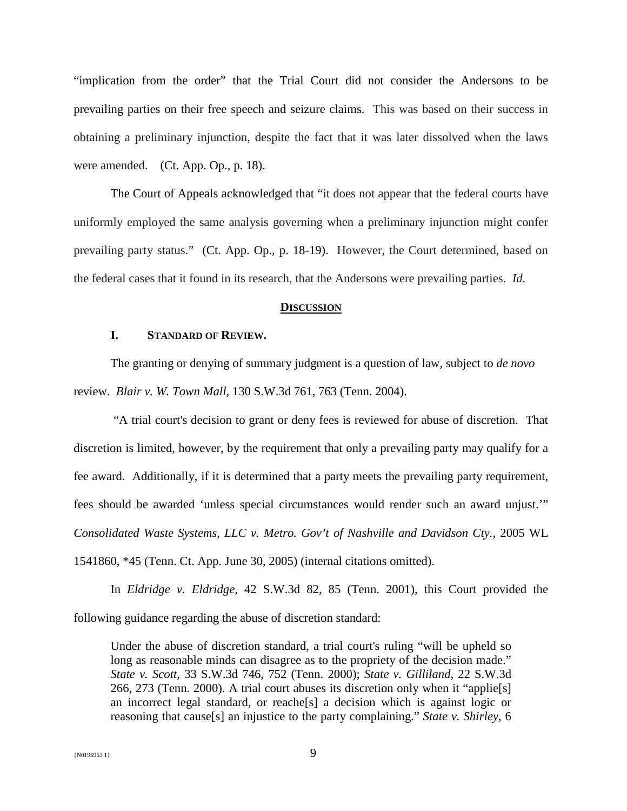"implication from the order" that the Trial Court did not consider the Andersons to be prevailing parties on their free speech and seizure claims. This was based on their success in obtaining a preliminary injunction, despite the fact that it was later dissolved when the laws were amended. (Ct. App. Op., p. 18).

The Court of Appeals acknowledged that "it does not appear that the federal courts have uniformly employed the same analysis governing when a preliminary injunction might confer prevailing party status." (Ct. App. Op., p. 18-19). However, the Court determined, based on the federal cases that it found in its research, that the Andersons were prevailing parties. *Id.* 

#### **DISCUSSION**

### **I. STANDARD OF REVIEW.**

The granting or denying of summary judgment is a question of law, subject to *de novo* review. *Blair v. W. Town Mall*, 130 S.W.3d 761, 763 (Tenn. 2004).

"A trial court's decision to grant or deny fees is reviewed for abuse of discretion. That discretion is limited, however, by the requirement that only a prevailing party may qualify for a fee award. Additionally, if it is determined that a party meets the prevailing party requirement, fees should be awarded 'unless special circumstances would render such an award unjust.'" *Consolidated Waste Systems, LLC v. Metro. Gov't of Nashville and Davidson Cty.,* 2005 WL 1541860, \*45 (Tenn. Ct. App. June 30, 2005) (internal citations omitted).

In *Eldridge v. Eldridge,* 42 S.W.3d 82, 85 (Tenn. 2001), this Court provided the following guidance regarding the abuse of discretion standard:

Under the abuse of discretion standard, a trial court's ruling "will be upheld so long as reasonable minds can disagree as to the propriety of the decision made." *State v. Scott,* 33 S.W.3d 746, 752 (Tenn. 2000); *State v. Gilliland,* 22 S.W.3d 266, 273 (Tenn. 2000). A trial court abuses its discretion only when it "applie[s] an incorrect legal standard, or reache[s] a decision which is against logic or reasoning that cause[s] an injustice to the party complaining." *State v. Shirley,* 6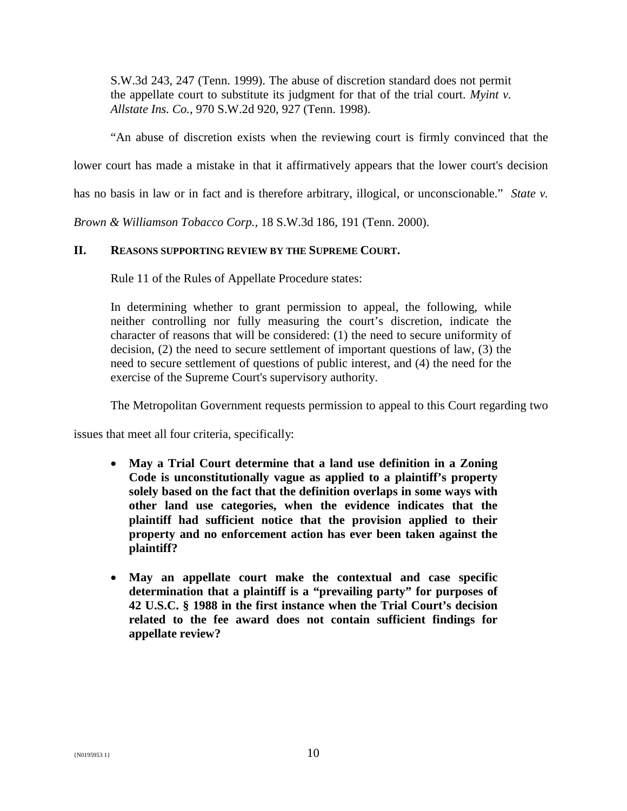S.W.3d 243, 247 (Tenn. 1999). The abuse of discretion standard does not permit the appellate court to substitute its judgment for that of the trial court. *Myint v. Allstate Ins. Co.,* 970 S.W.2d 920, 927 (Tenn. 1998).

"An abuse of discretion exists when the reviewing court is firmly convinced that the

lower court has made a mistake in that it affirmatively appears that the lower court's decision

has no basis in law or in fact and is therefore arbitrary, illogical, or unconscionable." *State v.* 

*Brown & Williamson Tobacco Corp.,* 18 S.W.3d 186, 191 (Tenn. 2000).

## **II. REASONS SUPPORTING REVIEW BY THE SUPREME COURT.**

Rule 11 of the Rules of Appellate Procedure states:

In determining whether to grant permission to appeal, the following, while neither controlling nor fully measuring the court's discretion, indicate the character of reasons that will be considered: (1) the need to secure uniformity of decision, (2) the need to secure settlement of important questions of law, (3) the need to secure settlement of questions of public interest, and (4) the need for the exercise of the Supreme Court's supervisory authority.

The Metropolitan Government requests permission to appeal to this Court regarding two

issues that meet all four criteria, specifically:

- **May a Trial Court determine that a land use definition in a Zoning Code is unconstitutionally vague as applied to a plaintiff's property solely based on the fact that the definition overlaps in some ways with other land use categories, when the evidence indicates that the plaintiff had sufficient notice that the provision applied to their property and no enforcement action has ever been taken against the plaintiff?**
- **May an appellate court make the contextual and case specific determination that a plaintiff is a "prevailing party" for purposes of 42 U.S.C. § 1988 in the first instance when the Trial Court's decision related to the fee award does not contain sufficient findings for appellate review?**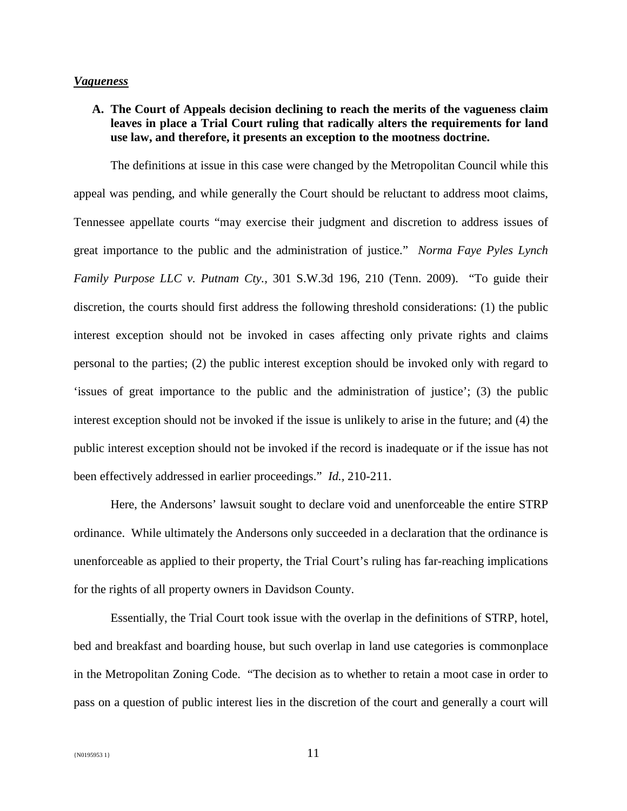#### *Vagueness*

**A. The Court of Appeals decision declining to reach the merits of the vagueness claim leaves in place a Trial Court ruling that radically alters the requirements for land use law, and therefore, it presents an exception to the mootness doctrine.**

The definitions at issue in this case were changed by the Metropolitan Council while this appeal was pending, and while generally the Court should be reluctant to address moot claims, Tennessee appellate courts "may exercise their judgment and discretion to address issues of great importance to the public and the administration of justice." *Norma Faye Pyles Lynch Family Purpose LLC v. Putnam Cty.,* 301 S.W.3d 196, 210 (Tenn. 2009). "To guide their discretion, the courts should first address the following threshold considerations: (1) the public interest exception should not be invoked in cases affecting only private rights and claims personal to the parties; (2) the public interest exception should be invoked only with regard to 'issues of great importance to the public and the administration of justice'; (3) the public interest exception should not be invoked if the issue is unlikely to arise in the future; and (4) the public interest exception should not be invoked if the record is inadequate or if the issue has not been effectively addressed in earlier proceedings." *Id.,* 210-211.

Here, the Andersons' lawsuit sought to declare void and unenforceable the entire STRP ordinance. While ultimately the Andersons only succeeded in a declaration that the ordinance is unenforceable as applied to their property, the Trial Court's ruling has far-reaching implications for the rights of all property owners in Davidson County.

Essentially, the Trial Court took issue with the overlap in the definitions of STRP, hotel, bed and breakfast and boarding house, but such overlap in land use categories is commonplace in the Metropolitan Zoning Code. "The decision as to whether to retain a moot case in order to pass on a question of public interest lies in the discretion of the court and generally a court will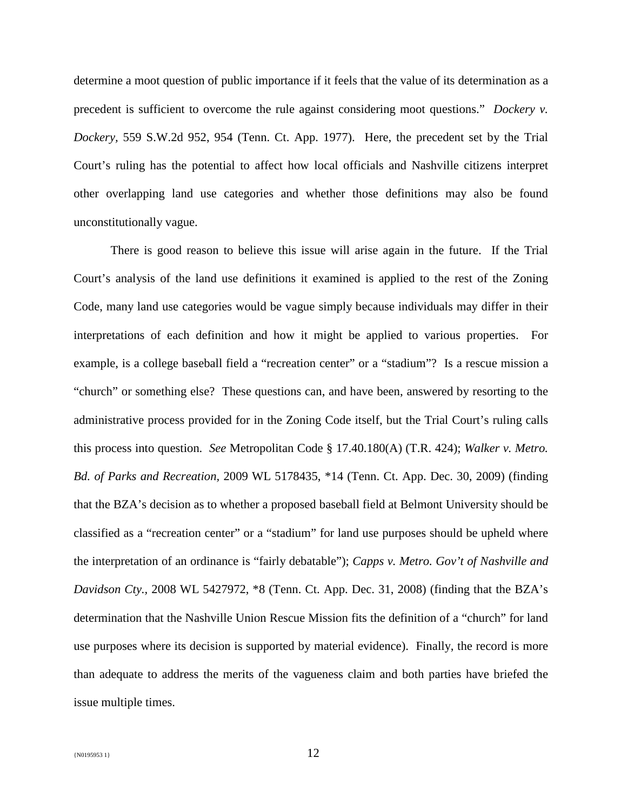determine a moot question of public importance if it feels that the value of its determination as a precedent is sufficient to overcome the rule against considering moot questions." *Dockery v. Dockery,* 559 S.W.2d 952, 954 (Tenn. Ct. App. 1977). Here, the precedent set by the Trial Court's ruling has the potential to affect how local officials and Nashville citizens interpret other overlapping land use categories and whether those definitions may also be found unconstitutionally vague.

There is good reason to believe this issue will arise again in the future. If the Trial Court's analysis of the land use definitions it examined is applied to the rest of the Zoning Code, many land use categories would be vague simply because individuals may differ in their interpretations of each definition and how it might be applied to various properties. For example, is a college baseball field a "recreation center" or a "stadium"? Is a rescue mission a "church" or something else? These questions can, and have been, answered by resorting to the administrative process provided for in the Zoning Code itself, but the Trial Court's ruling calls this process into question. *See* Metropolitan Code § 17.40.180(A) (T.R. 424); *Walker v. Metro. Bd. of Parks and Recreation,* 2009 WL 5178435, \*14 (Tenn. Ct. App. Dec. 30, 2009) (finding that the BZA's decision as to whether a proposed baseball field at Belmont University should be classified as a "recreation center" or a "stadium" for land use purposes should be upheld where the interpretation of an ordinance is "fairly debatable"); *Capps v. Metro. Gov't of Nashville and Davidson Cty.,* 2008 WL 5427972, \*8 (Tenn. Ct. App. Dec. 31, 2008) (finding that the BZA's determination that the Nashville Union Rescue Mission fits the definition of a "church" for land use purposes where its decision is supported by material evidence). Finally, the record is more than adequate to address the merits of the vagueness claim and both parties have briefed the issue multiple times.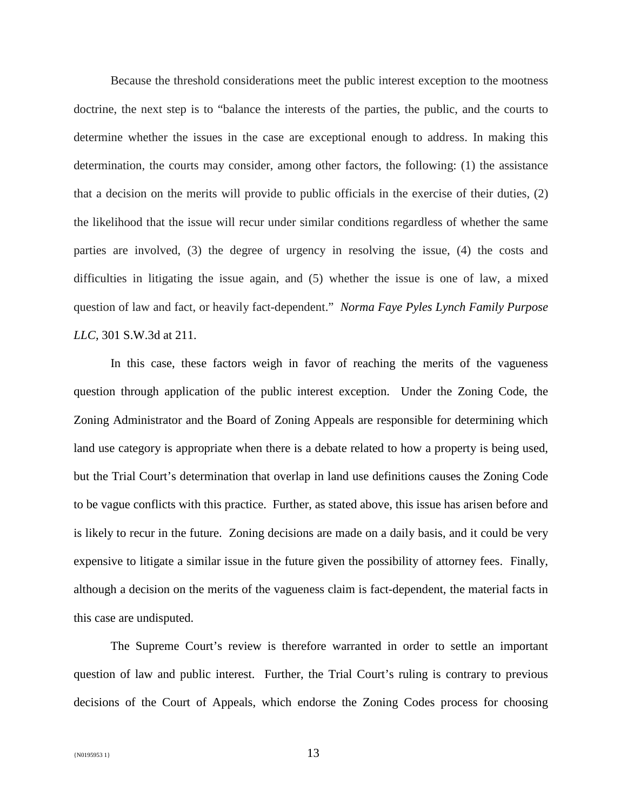Because the threshold considerations meet the public interest exception to the mootness doctrine, the next step is to "balance the interests of the parties, the public, and the courts to determine whether the issues in the case are exceptional enough to address. In making this determination, the courts may consider, among other factors, the following: (1) the assistance that a decision on the merits will provide to public officials in the exercise of their duties, (2) the likelihood that the issue will recur under similar conditions regardless of whether the same parties are involved, (3) the degree of urgency in resolving the issue, (4) the costs and difficulties in litigating the issue again, and (5) whether the issue is one of law, a mixed question of law and fact, or heavily fact-dependent." *Norma Faye Pyles Lynch Family Purpose LLC,* 301 S.W.3d at 211.

In this case, these factors weigh in favor of reaching the merits of the vagueness question through application of the public interest exception. Under the Zoning Code, the Zoning Administrator and the Board of Zoning Appeals are responsible for determining which land use category is appropriate when there is a debate related to how a property is being used, but the Trial Court's determination that overlap in land use definitions causes the Zoning Code to be vague conflicts with this practice. Further, as stated above, this issue has arisen before and is likely to recur in the future. Zoning decisions are made on a daily basis, and it could be very expensive to litigate a similar issue in the future given the possibility of attorney fees. Finally, although a decision on the merits of the vagueness claim is fact-dependent, the material facts in this case are undisputed.

The Supreme Court's review is therefore warranted in order to settle an important question of law and public interest. Further, the Trial Court's ruling is contrary to previous decisions of the Court of Appeals, which endorse the Zoning Codes process for choosing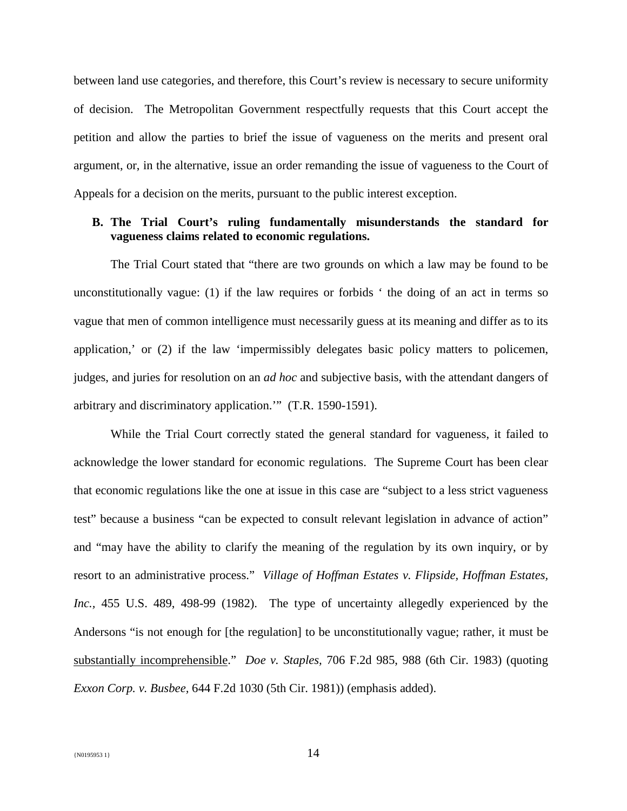between land use categories, and therefore, this Court's review is necessary to secure uniformity of decision. The Metropolitan Government respectfully requests that this Court accept the petition and allow the parties to brief the issue of vagueness on the merits and present oral argument, or, in the alternative, issue an order remanding the issue of vagueness to the Court of Appeals for a decision on the merits, pursuant to the public interest exception.

## **B. The Trial Court's ruling fundamentally misunderstands the standard for vagueness claims related to economic regulations.**

The Trial Court stated that "there are two grounds on which a law may be found to be unconstitutionally vague: (1) if the law requires or forbids ' the doing of an act in terms so vague that men of common intelligence must necessarily guess at its meaning and differ as to its application,' or (2) if the law 'impermissibly delegates basic policy matters to policemen, judges, and juries for resolution on an *ad hoc* and subjective basis, with the attendant dangers of arbitrary and discriminatory application.'" (T.R. 1590-1591).

While the Trial Court correctly stated the general standard for vagueness, it failed to acknowledge the lower standard for economic regulations. The Supreme Court has been clear that economic regulations like the one at issue in this case are "subject to a less strict vagueness test" because a business "can be expected to consult relevant legislation in advance of action" and "may have the ability to clarify the meaning of the regulation by its own inquiry, or by resort to an administrative process." *Village of Hoffman Estates v. Flipside, Hoffman Estates, Inc.,* 455 U.S. 489, 498-99 (1982). The type of uncertainty allegedly experienced by the Andersons "is not enough for [the regulation] to be unconstitutionally vague; rather, it must be substantially incomprehensible." *Doe v. Staples,* 706 F.2d 985, 988 (6th Cir. 1983) (quoting *Exxon Corp. v. Busbee,* 644 F.2d 1030 (5th Cir. 1981)) (emphasis added).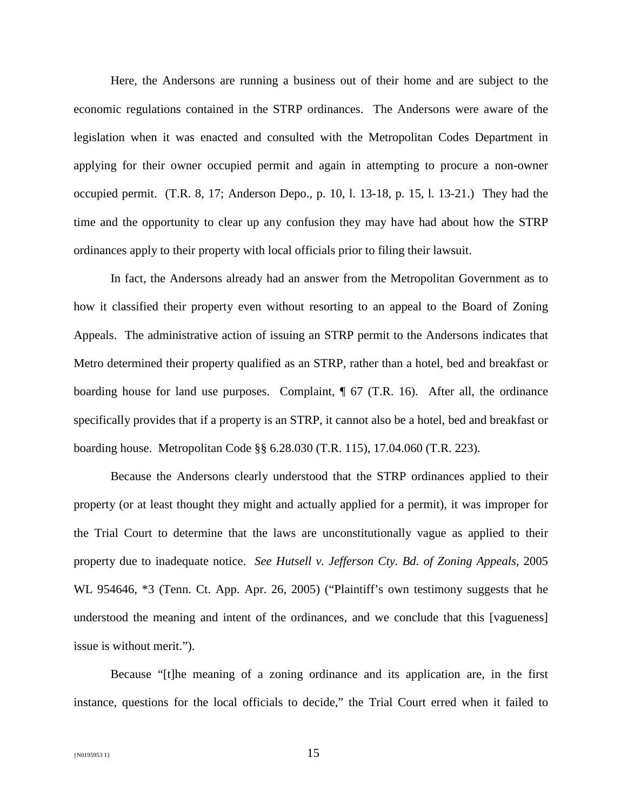Here, the Andersons are running a business out of their home and are subject to the economic regulations contained in the STRP ordinances. The Andersons were aware of the legislation when it was enacted and consulted with the Metropolitan Codes Department in applying for their owner occupied permit and again in attempting to procure a non-owner occupied permit. (T.R. 8, 17; Anderson Depo., p. 10, l. 13-18, p. 15, l. 13-21.) They had the time and the opportunity to clear up any confusion they may have had about how the STRP ordinances apply to their property with local officials prior to filing their lawsuit.

In fact, the Andersons already had an answer from the Metropolitan Government as to how it classified their property even without resorting to an appeal to the Board of Zoning Appeals. The administrative action of issuing an STRP permit to the Andersons indicates that Metro determined their property qualified as an STRP, rather than a hotel, bed and breakfast or boarding house for land use purposes. Complaint,  $\parallel$  67 (T.R. 16). After all, the ordinance specifically provides that if a property is an STRP, it cannot also be a hotel, bed and breakfast or boarding house. Metropolitan Code §§ 6.28.030 (T.R. 115), 17.04.060 (T.R. 223).

Because the Andersons clearly understood that the STRP ordinances applied to their property (or at least thought they might and actually applied for a permit), it was improper for the Trial Court to determine that the laws are unconstitutionally vague as applied to their property due to inadequate notice. *See Hutsell v. Jefferson Cty. Bd. of Zoning Appeals,* 2005 WL 954646, \*3 (Tenn. Ct. App. Apr. 26, 2005) ("Plaintiff's own testimony suggests that he understood the meaning and intent of the ordinances, and we conclude that this [vagueness] issue is without merit.").

Because "[t]he meaning of a zoning ordinance and its application are, in the first instance, questions for the local officials to decide," the Trial Court erred when it failed to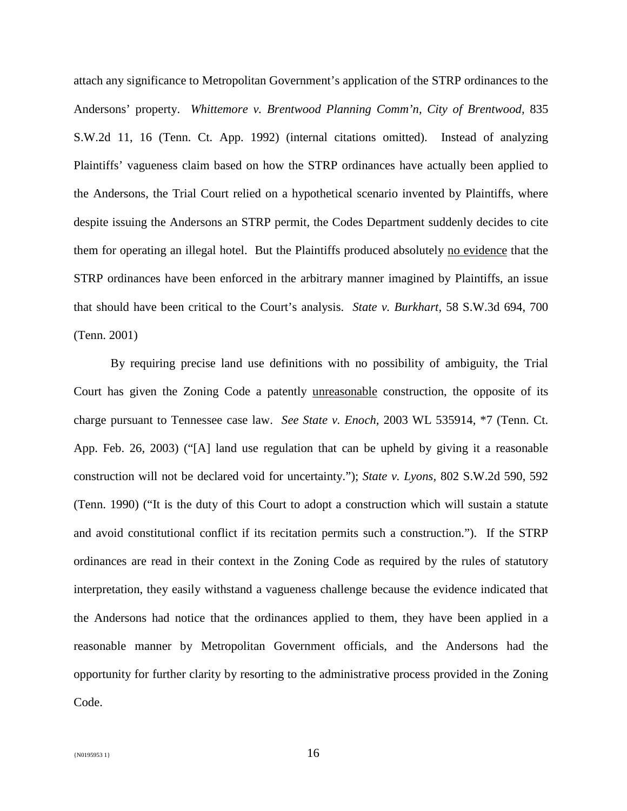attach any significance to Metropolitan Government's application of the STRP ordinances to the Andersons' property. *Whittemore v. Brentwood Planning Comm'n, City of Brentwood,* 835 S.W.2d 11, 16 (Tenn. Ct. App. 1992) (internal citations omitted). Instead of analyzing Plaintiffs' vagueness claim based on how the STRP ordinances have actually been applied to the Andersons, the Trial Court relied on a hypothetical scenario invented by Plaintiffs, where despite issuing the Andersons an STRP permit, the Codes Department suddenly decides to cite them for operating an illegal hotel. But the Plaintiffs produced absolutely no evidence that the STRP ordinances have been enforced in the arbitrary manner imagined by Plaintiffs, an issue that should have been critical to the Court's analysis. *State v. Burkhart,* 58 S.W.3d 694, 700 (Tenn. 2001)

By requiring precise land use definitions with no possibility of ambiguity, the Trial Court has given the Zoning Code a patently unreasonable construction, the opposite of its charge pursuant to Tennessee case law. *See State v. Enoch,* 2003 WL 535914, \*7 (Tenn. Ct. App. Feb. 26, 2003) ("[A] land use regulation that can be upheld by giving it a reasonable construction will not be declared void for uncertainty."); *State v. Lyons,* 802 S.W.2d 590, 592 (Tenn. 1990) ("It is the duty of this Court to adopt a construction which will sustain a statute and avoid constitutional conflict if its recitation permits such a construction."). If the STRP ordinances are read in their context in the Zoning Code as required by the rules of statutory interpretation, they easily withstand a vagueness challenge because the evidence indicated that the Andersons had notice that the ordinances applied to them, they have been applied in a reasonable manner by Metropolitan Government officials, and the Andersons had the opportunity for further clarity by resorting to the administrative process provided in the Zoning Code.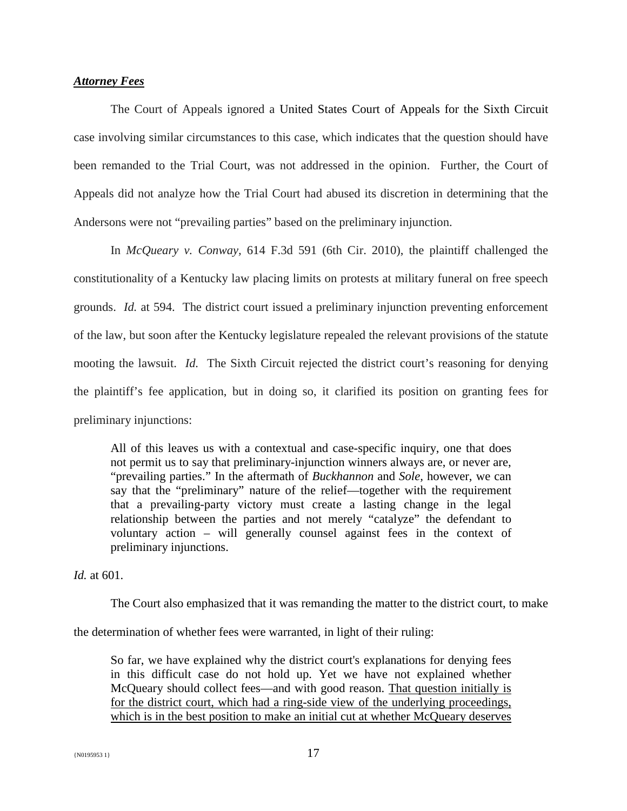## *Attorney Fees*

The Court of Appeals ignored a United States Court of Appeals for the Sixth Circuit case involving similar circumstances to this case, which indicates that the question should have been remanded to the Trial Court, was not addressed in the opinion. Further, the Court of Appeals did not analyze how the Trial Court had abused its discretion in determining that the Andersons were not "prevailing parties" based on the preliminary injunction.

In *McQueary v. Conway,* 614 F.3d 591 (6th Cir. 2010), the plaintiff challenged the constitutionality of a Kentucky law placing limits on protests at military funeral on free speech grounds. *Id.* at 594. The district court issued a preliminary injunction preventing enforcement of the law, but soon after the Kentucky legislature repealed the relevant provisions of the statute mooting the lawsuit. *Id.* The Sixth Circuit rejected the district court's reasoning for denying the plaintiff's fee application, but in doing so, it clarified its position on granting fees for preliminary injunctions:

All of this leaves us with a contextual and case-specific inquiry, one that does not permit us to say that preliminary-injunction winners always are, or never are, "prevailing parties." In the aftermath of *Buckhannon* and *Sole,* however, we can say that the "preliminary" nature of the relief—together with the requirement that a prevailing-party victory must create a lasting change in the legal relationship between the parties and not merely "catalyze" the defendant to voluntary action – will generally counsel against fees in the context of preliminary injunctions.

*Id.* at 601.

The Court also emphasized that it was remanding the matter to the district court, to make

the determination of whether fees were warranted, in light of their ruling:

So far, we have explained why the district court's explanations for denying fees in this difficult case do not hold up. Yet we have not explained whether McQueary should collect fees—and with good reason. That question initially is for the district court, which had a ring-side view of the underlying proceedings, which is in the best position to make an initial cut at whether McQueary deserves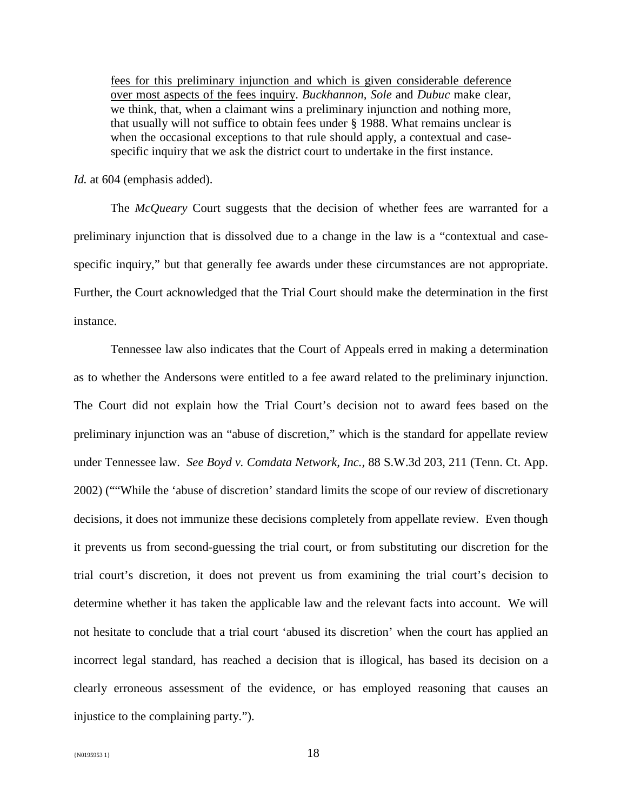fees for this preliminary injunction and which is given considerable deference over most aspects of the fees inquiry. *Buckhannon, Sole* and *Dubuc* make clear, we think, that, when a claimant wins a preliminary injunction and nothing more, that usually will not suffice to obtain fees under § 1988. What remains unclear is when the occasional exceptions to that rule should apply, a contextual and casespecific inquiry that we ask the district court to undertake in the first instance.

*Id.* at 604 (emphasis added).

The *McQueary* Court suggests that the decision of whether fees are warranted for a preliminary injunction that is dissolved due to a change in the law is a "contextual and casespecific inquiry," but that generally fee awards under these circumstances are not appropriate. Further, the Court acknowledged that the Trial Court should make the determination in the first instance.

Tennessee law also indicates that the Court of Appeals erred in making a determination as to whether the Andersons were entitled to a fee award related to the preliminary injunction. The Court did not explain how the Trial Court's decision not to award fees based on the preliminary injunction was an "abuse of discretion," which is the standard for appellate review under Tennessee law. *See Boyd v. Comdata Network, Inc.,* 88 S.W.3d 203, 211 (Tenn. Ct. App. 2002) (""While the 'abuse of discretion' standard limits the scope of our review of discretionary decisions, it does not immunize these decisions completely from appellate review. Even though it prevents us from second-guessing the trial court, or from substituting our discretion for the trial court's discretion, it does not prevent us from examining the trial court's decision to determine whether it has taken the applicable law and the relevant facts into account. We will not hesitate to conclude that a trial court 'abused its discretion' when the court has applied an incorrect legal standard, has reached a decision that is illogical, has based its decision on a clearly erroneous assessment of the evidence, or has employed reasoning that causes an injustice to the complaining party.").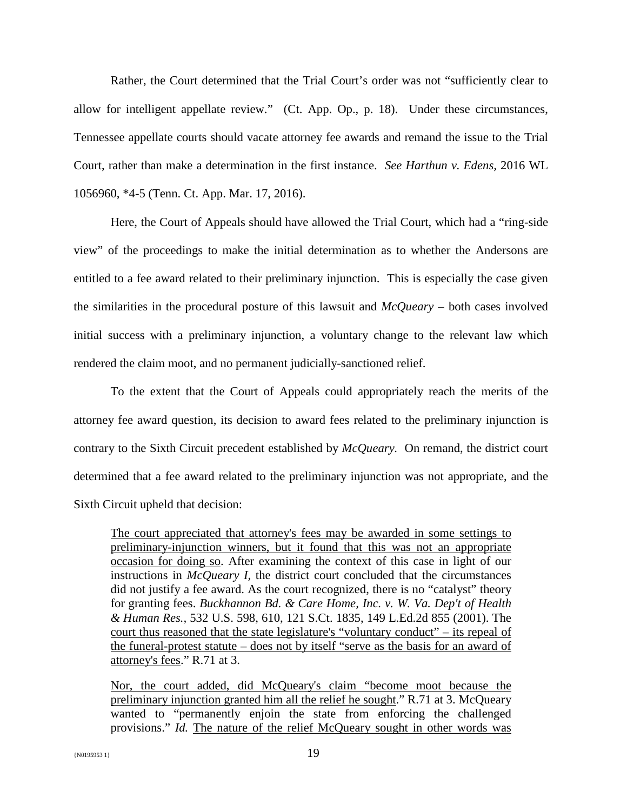Rather, the Court determined that the Trial Court's order was not "sufficiently clear to allow for intelligent appellate review." (Ct. App. Op., p. 18). Under these circumstances, Tennessee appellate courts should vacate attorney fee awards and remand the issue to the Trial Court, rather than make a determination in the first instance. *See Harthun v. Edens,* 2016 WL 1056960, \*4-5 (Tenn. Ct. App. Mar. 17, 2016).

Here, the Court of Appeals should have allowed the Trial Court, which had a "ring-side view" of the proceedings to make the initial determination as to whether the Andersons are entitled to a fee award related to their preliminary injunction. This is especially the case given the similarities in the procedural posture of this lawsuit and *McQueary* – both cases involved initial success with a preliminary injunction, a voluntary change to the relevant law which rendered the claim moot, and no permanent judicially-sanctioned relief.

To the extent that the Court of Appeals could appropriately reach the merits of the attorney fee award question, its decision to award fees related to the preliminary injunction is contrary to the Sixth Circuit precedent established by *McQueary.* On remand, the district court determined that a fee award related to the preliminary injunction was not appropriate, and the Sixth Circuit upheld that decision:

The court appreciated that attorney's fees may be awarded in some settings to preliminary-injunction winners, but it found that this was not an appropriate occasion for doing so. After examining the context of this case in light of our instructions in *McQueary I,* the district court concluded that the circumstances did not justify a fee award. As the court recognized, there is no "catalyst" theory for granting fees. *Buckhannon Bd. & Care Home, Inc. v. W. Va. Dep't of Health & Human Res.,* 532 U.S. 598, 610, 121 S.Ct. 1835, 149 L.Ed.2d 855 (2001). The court thus reasoned that the state legislature's "voluntary conduct" – its repeal of the funeral-protest statute – does not by itself "serve as the basis for an award of attorney's fees." R.71 at 3.

Nor, the court added, did McQueary's claim "become moot because the preliminary injunction granted him all the relief he sought." R.71 at 3. McQueary wanted to "permanently enjoin the state from enforcing the challenged provisions." *Id.* The nature of the relief McQueary sought in other words was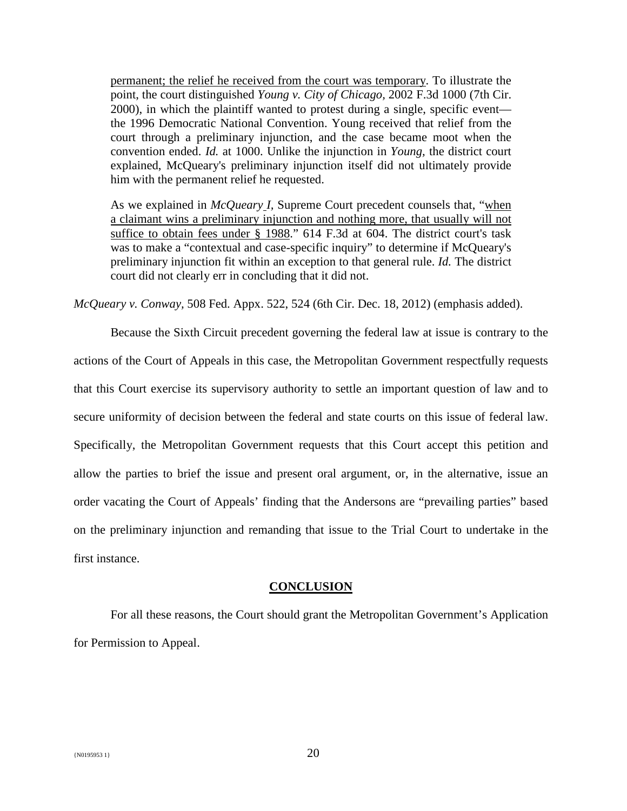permanent; the relief he received from the court was temporary. To illustrate the point, the court distinguished *Young v. City of Chicago,* 2002 F.3d 1000 (7th Cir. 2000), in which the plaintiff wanted to protest during a single, specific event the 1996 Democratic National Convention. Young received that relief from the court through a preliminary injunction, and the case became moot when the convention ended. *Id.* at 1000. Unlike the injunction in *Young,* the district court explained, McQueary's preliminary injunction itself did not ultimately provide him with the permanent relief he requested.

As we explained in *McQueary I,* Supreme Court precedent counsels that, "when a claimant wins a preliminary injunction and nothing more, that usually will not suffice to obtain fees under § 1988." 614 F.3d at 604. The district court's task was to make a "contextual and case-specific inquiry" to determine if McQueary's preliminary injunction fit within an exception to that general rule. *Id.* The district court did not clearly err in concluding that it did not.

*McQueary v. Conway,* 508 Fed. Appx. 522, 524 (6th Cir. Dec. 18, 2012) (emphasis added).

Because the Sixth Circuit precedent governing the federal law at issue is contrary to the actions of the Court of Appeals in this case, the Metropolitan Government respectfully requests that this Court exercise its supervisory authority to settle an important question of law and to secure uniformity of decision between the federal and state courts on this issue of federal law. Specifically, the Metropolitan Government requests that this Court accept this petition and allow the parties to brief the issue and present oral argument, or, in the alternative, issue an order vacating the Court of Appeals' finding that the Andersons are "prevailing parties" based on the preliminary injunction and remanding that issue to the Trial Court to undertake in the first instance.

### **CONCLUSION**

For all these reasons, the Court should grant the Metropolitan Government's Application for Permission to Appeal.